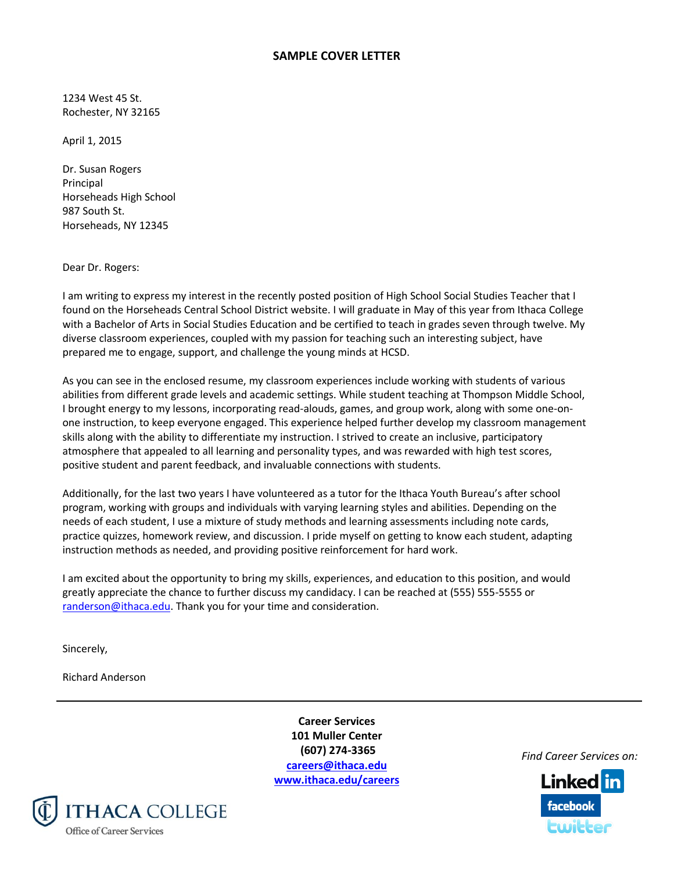## **SAMPLE COVER LETTER**

1234 West 45 St. Rochester, NY 32165

April 1, 2015

Dr. Susan Rogers Principal Horseheads High School 987 South St. Horseheads, NY 12345

Dear Dr. Rogers:

I am writing to express my interest in the recently posted position of High School Social Studies Teacher that I found on the Horseheads Central School District website. I will graduate in May of this year from Ithaca College with a Bachelor of Arts in Social Studies Education and be certified to teach in grades seven through twelve. My diverse classroom experiences, coupled with my passion for teaching such an interesting subject, have prepared me to engage, support, and challenge the young minds at HCSD.

As you can see in the enclosed resume, my classroom experiences include working with students of various abilities from different grade levels and academic settings. While student teaching at Thompson Middle School, I brought energy to my lessons, incorporating read-alouds, games, and group work, along with some one-onone instruction, to keep everyone engaged. This experience helped further develop my classroom management skills along with the ability to differentiate my instruction. I strived to create an inclusive, participatory atmosphere that appealed to all learning and personality types, and was rewarded with high test scores, positive student and parent feedback, and invaluable connections with students.

Additionally, for the last two years I have volunteered as a tutor for the Ithaca Youth Bureau's after school program, working with groups and individuals with varying learning styles and abilities. Depending on the needs of each student, I use a mixture of study methods and learning assessments including note cards, practice quizzes, homework review, and discussion. I pride myself on getting to know each student, adapting instruction methods as needed, and providing positive reinforcement for hard work.

I am excited about the opportunity to bring my skills, experiences, and education to this position, and would greatly appreciate the chance to further discuss my candidacy. I can be reached at (555) 555-5555 or [randerson@ithaca.edu.](mailto:randerson@ithaca.edu) Thank you for your time and consideration.

Sincerely,

Richard Anderson

**Career Services 101 Muller Center (607) 274-3365 [careers@ithaca.edu](mailto:careers@ithaca.edu) [www.ithaca.edu/careers](http://www.ithaca.edu/careers)**



*Find Career Services on:*